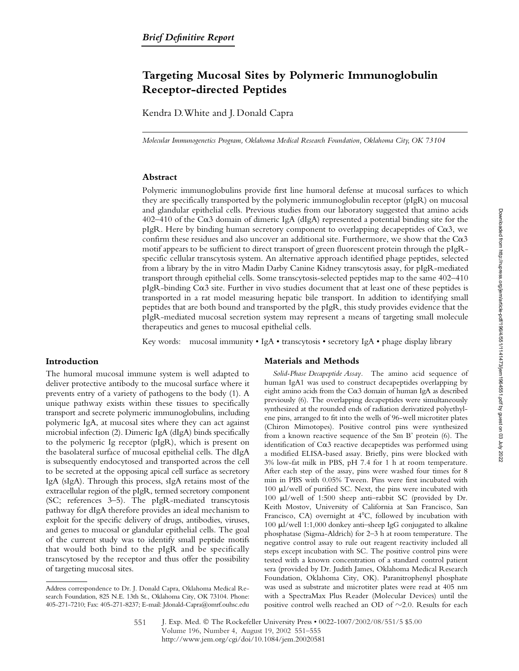# **Targeting Mucosal Sites by Polymeric Immunoglobulin Receptor-directed Peptides**

Kendra D. White and J. Donald Capra

*Molecular Immunogenetics Program, Oklahoma Medical Research Foundation, Oklahoma City, OK 73104*

#### **Abstract**

Polymeric immunoglobulins provide first line humoral defense at mucosal surfaces to which they are specifically transported by the polymeric immunoglobulin receptor (pIgR) on mucosal and glandular epithelial cells. Previous studies from our laboratory suggested that amino acids  $402-410$  of the C $\alpha$ 3 domain of dimeric IgA (dIgA) represented a potential binding site for the pIgR. Here by binding human secretory component to overlapping decapeptides of  $Ca3$ , we confirm these residues and also uncover an additional site. Furthermore, we show that the  $C\alpha3$ motif appears to be sufficient to direct transport of green fluorescent protein through the pIgRspecific cellular transcytosis system. An alternative approach identified phage peptides, selected from a library by the in vitro Madin Darby Canine Kidney transcytosis assay, for pIgR-mediated transport through epithelial cells. Some transcytosis-selected peptides map to the same 402–410  $pIgR$ -binding C $\alpha$ 3 site. Further in vivo studies document that at least one of these peptides is transported in a rat model measuring hepatic bile transport. In addition to identifying small peptides that are both bound and transported by the pIgR, this study provides evidence that the pIgR-mediated mucosal secretion system may represent a means of targeting small molecule therapeutics and genes to mucosal epithelial cells.

Key words: mucosal immunity • IgA • transcytosis • secretory IgA • phage display library

## **Introduction**

The humoral mucosal immune system is well adapted to deliver protective antibody to the mucosal surface where it prevents entry of a variety of pathogens to the body (1). A unique pathway exists within these tissues to specifically transport and secrete polymeric immunoglobulins, including polymeric IgA, at mucosal sites where they can act against microbial infection (2). Dimeric IgA (dIgA) binds specifically to the polymeric Ig receptor (pIgR), which is present on the basolateral surface of mucosal epithelial cells. The dIgA is subsequently endocytosed and transported across the cell to be secreted at the opposing apical cell surface as secretory IgA (sIgA). Through this process, sIgA retains most of the extracellular region of the pIgR, termed secretory component (SC; references 3–5). The pIgR-mediated transcytosis pathway for dIgA therefore provides an ideal mechanism to exploit for the specific delivery of drugs, antibodies, viruses, and genes to mucosal or glandular epithelial cells. The goal of the current study was to identify small peptide motifs that would both bind to the pIgR and be specifically transcytosed by the receptor and thus offer the possibility of targeting mucosal sites.

#### **Materials and Methods**

*Solid-Phase Decapeptide Assay.* The amino acid sequence of human IgA1 was used to construct decapeptides overlapping by eight amino acids from the  $C\alpha$ 3 domain of human IgA as described previously (6). The overlapping decapeptides were simultaneously synthesized at the rounded ends of radiation derivatized polyethylene pins, arranged to fit into the wells of 96-well microtiter plates (Chiron Mimotopes). Positive control pins were synthesized from a known reactive sequence of the Sm B' protein (6). The identification of  $C\alpha$ 3 reactive decapeptides was performed using a modified ELISA-based assay. Briefly, pins were blocked with 3% low-fat milk in PBS, pH 7.4 for 1 h at room temperature. After each step of the assay, pins were washed four times for 8 min in PBS with 0.05% Tween. Pins were first incubated with  $100 \mu$ l/well of purified SC. Next, the pins were incubated with 100 µl/well of 1:500 sheep anti-rabbit SC (provided by Dr. Keith Mostov, University of California at San Francisco, San Francisco, CA) overnight at  $4^{\circ}$ C, followed by incubation with 100  $\mu$ l/well 1:1,000 donkey anti-sheep IgG conjugated to alkaline phosphatase (Sigma-Aldrich) for 2–3 h at room temperature. The negative control assay to rule out reagent reactivity included all steps except incubation with SC. The positive control pins were tested with a known concentration of a standard control patient sera (provided by Dr. Judith James, Oklahoma Medical Research Foundation, Oklahoma City, OK). Paranitrophenyl phosphate was used as substrate and microtiter plates were read at 405 nm with a SpectraMax Plus Reader (Molecular Devices) until the positive control wells reached an OD of  $\sim$ 2.0. Results for each

Address correspondence to Dr. J. Donald Capra, Oklahoma Medical Research Foundation, 825 N.E. 13th St., Oklahoma City, OK 73104. Phone: 405-271-7210; Fax: 405-271-8237; E-mail: Jdonald-Capra@omrf.ouhsc.edu

J. Exp. Med. © The Rockefeller University Press • 0022-1007/2002/08/551/5 \$5.00 Volume 196, Number 4, August 19, 2002 551–555 http://www.jem.org/cgi/doi/10.1084/jem.20020581 551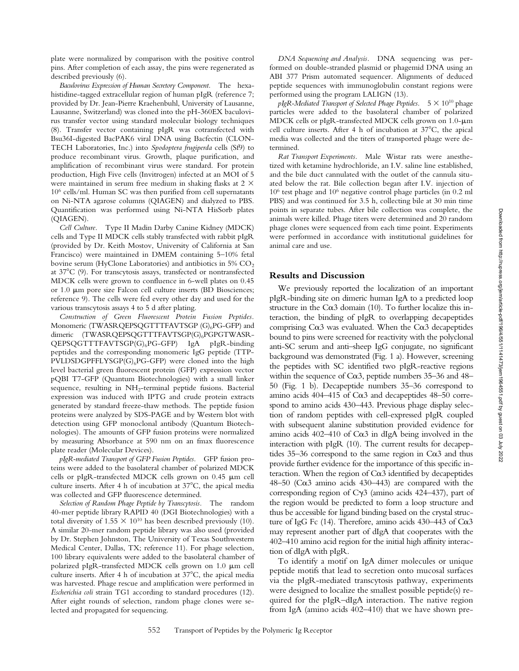plate were normalized by comparison with the positive control pins. After completion of each assay, the pins were regenerated as described previously (6).

*Baculovirus Expression of Human Secretory Component.* The hexahistidine-tagged extracellular region of human pIgR (reference 7; provided by Dr. Jean-Pierre Kraehenbuhl, University of Lausanne, Lausanne, Switzerland) was cloned into the pH-360EX baculovirus transfer vector using standard molecular biology techniques (8). Transfer vector containing pIgR was cotransfected with Bsu36I-digested BacPAK6 viral DNA using Bacfectin (CLON-TECH Laboratories, Inc.) into *Spodoptera frugiperda* cells (Sf9) to produce recombinant virus. Growth, plaque purification, and amplification of recombinant virus were standard. For protein production, High Five cells (Invitrogen) infected at an MOI of 5 were maintained in serum free medium in shaking flasks at  $2 \times$ 106 cells/ml. Human SC was then purified from cell supernatants on Ni-NTA agarose columns (QIAGEN) and dialyzed to PBS. Quantification was performed using Ni-NTA HisSorb plates (QIAGEN).

*Cell Culture.* Type II Madin Darby Canine Kidney (MDCK) cells and Type II MDCK cells stably transfected with rabbit pIgR (provided by Dr. Keith Mostov, University of California at San Francisco) were maintained in DMEM containing 5–10% fetal bovine serum (HyClone Laboratories) and antibiotics in  $5\%$  CO<sub>2</sub> at 37C (9). For transcytosis assays, transfected or nontransfected MDCK cells were grown to confluence in 6-well plates on 0.45 or  $1.0 \mu$ m pore size Falcon cell culture inserts (BD Biosciences; reference 9). The cells were fed every other day and used for the various transcytosis assays 4 to 5 d after plating.

*Construction of Green Fluorescent Protein Fusion Peptides.* Monomeric (TWASRQEPSQGTTTFAVTSGP (G)<sub>6</sub>PG-GFP) and dimeric (TWASRQEPSQGTTTFAVTSGP(G)<sub>6</sub>PGPGTWASR-QEPSQGTTTFAVTSGP(G)6PG-GFP) IgA pIgR-binding peptides and the corresponding monomeric IgG peptide (TTP- $PWLDSDGPFFLYSGP(G)<sub>6</sub>PG-GFP)$  were cloned into the high level bacterial green fluorescent protein (GFP) expression vector pQBI T7-GFP (Quantum Biotechnologies) with a small linker sequence, resulting in NH<sub>2</sub>-terminal peptide fusions. Bacterial expression was induced with IPTG and crude protein extracts generated by standard freeze-thaw methods. The peptide fusion proteins were analyzed by SDS-PAGE and by Western blot with detection using GFP monoclonal antibody (Quantum Biotechnologies). The amounts of GFP fusion proteins were normalized by measuring Absorbance at 590 nm on an fmax fluorescence plate reader (Molecular Devices).

*pIgR-mediated Transport of GFP Fusion Peptides.* GFP fusion proteins were added to the basolateral chamber of polarized MDCK cells or pIgR-transfected MDCK cells grown on  $0.45 \mu m$  cell culture inserts. After 4 h of incubation at  $37^{\circ}$ C, the apical media was collected and GFP fluorescence determined.

*Selection of Random Phage Peptide by Transcytosis.* The random 40-mer peptide library RAPID 40 (DGI Biotechnologies) with a total diversity of 1.55  $\times$  10<sup>10</sup> has been described previously (10). A similar 20-mer random peptide library was also used (provided by Dr. Stephen Johnston, The University of Texas Southwestern Medical Center, Dallas, TX; reference 11). For phage selection, 100 library equivalents were added to the basolateral chamber of polarized pIgR-transfected MDCK cells grown on 1.0  $\mu$ m cell culture inserts. After 4 h of incubation at  $37^{\circ}$ C, the apical media was harvested. Phage rescue and amplification were performed in *Escherichia coli* strain TG1 according to standard procedures (12). After eight rounds of selection, random phage clones were selected and propagated for sequencing.

*DNA Sequencing and Analysis.* DNA sequencing was performed on double-stranded plasmid or phagemid DNA using an ABI 377 Prism automated sequencer. Alignments of deduced peptide sequences with immunoglobulin constant regions were performed using the program LALIGN (13).

 $pIgR-Mediated Transport of Selected Phage Peptides. 5  $\times$  10<sup>10</sup> phage$ particles were added to the basolateral chamber of polarized MDCK cells or pIgR-transfected MDCK cells grown on 1.0- $\mu$ m cell culture inserts. After 4 h of incubation at  $37^{\circ}$ C, the apical media was collected and the titers of transported phage were determined.

*Rat Transport Experiments.* Male Wistar rats were anesthetized with ketamine hydrochloride, an I.V. saline line established, and the bile duct cannulated with the outlet of the cannula situated below the rat. Bile collection began after I.V. injection of 106 test phage and 106 negative control phage particles (in 0.2 ml PBS) and was continued for 3.5 h, collecting bile at 30 min time points in separate tubes. After bile collection was complete, the animals were killed. Phage titers were determined and 20 random phage clones were sequenced from each time point. Experiments were performed in accordance with institutional guidelines for animal care and use.

## **Results and Discussion**

We previously reported the localization of an important pIgR-binding site on dimeric human IgA to a predicted loop structure in the  $C\alpha3$  domain (10). To further localize this interaction, the binding of pIgR to overlapping decapeptides comprising  $C\alpha$ 3 was evaluated. When the  $C\alpha$ 3 decapeptides bound to pins were screened for reactivity with the polyclonal anti-SC serum and anti–sheep IgG conjugate, no significant background was demonstrated (Fig. 1 a). However, screening the peptides with SC identified two pIgR-reactive regions within the sequence of  $C\alpha3$ , peptide numbers 35-36 and 48-50 (Fig. 1 b). Decapeptide numbers 35–36 correspond to amino acids  $404-415$  of C $\alpha$ 3 and decapeptides  $48-50$  correspond to amino acids 430–443. Previous phage display selection of random peptides with cell-expressed pIgR coupled with subsequent alanine substitution provided evidence for amino acids  $402-410$  of  $Ca3$  in dIgA being involved in the interaction with pIgR (10). The current results for decapeptides 35-36 correspond to the same region in  $C\alpha$ 3 and thus provide further evidence for the importance of this specific interaction. When the region of  $C\alpha3$  identified by decapeptides  $48-50$  (C $\alpha$ 3 amino acids 430-443) are compared with the corresponding region of  $Cy3$  (amino acids 424–437), part of the region would be predicted to form a loop structure and thus be accessible for ligand binding based on the crystal structure of IgG Fc (14). Therefore, amino acids  $430-443$  of C $\alpha3$ may represent another part of dIgA that cooperates with the 402–410 amino acid region for the initial high affinity interaction of dIgA with pIgR.

To identify a motif on IgA dimer molecules or unique peptide motifs that lead to secretion onto mucosal surfaces via the pIgR-mediated transcytosis pathway, experiments were designed to localize the smallest possible peptide(s) required for the pIgR–dIgA interaction. The native region from IgA (amino acids 402–410) that we have shown pre-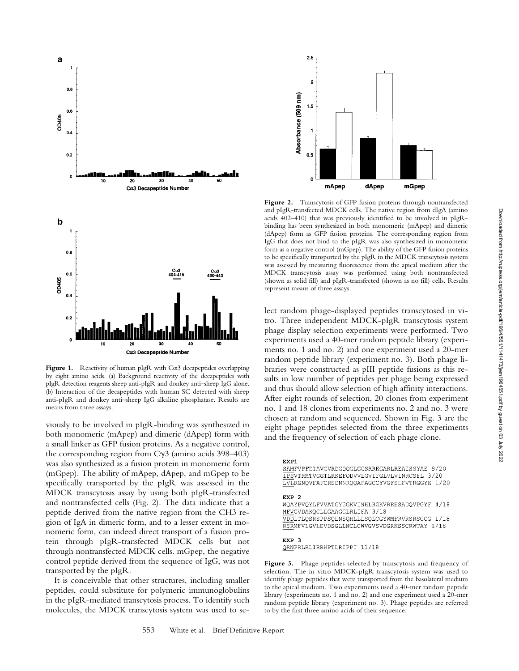

Figure 1. Reactivity of human pIgR with Coc3 decapeptides overlapping by eight amino acids. (a) Background reactivity of the decapeptides with pIgR detection reagents sheep anti-pIgR and donkey anti–sheep IgG alone. (b) Interaction of the decapeptides with human SC detected with sheep anti-pIgR and donkey anti–sheep IgG alkaline phosphatase. Results are means from three assays.

viously to be involved in pIgR-binding was synthesized in both monomeric (mApep) and dimeric (dApep) form with a small linker as GFP fusion proteins. As a negative control, the corresponding region from  $C_{\gamma}$ 3 (amino acids 398–403) was also synthesized as a fusion protein in monomeric form (mGpep). The ability of mApep, dApep, and mGpep to be specifically transported by the pIgR was assessed in the MDCK transcytosis assay by using both pIgR-transfected and nontransfected cells (Fig. 2). The data indicate that a peptide derived from the native region from the CH3 region of IgA in dimeric form, and to a lesser extent in monomeric form, can indeed direct transport of a fusion protein through pIgR-transfected MDCK cells but not through nontransfected MDCK cells. mGpep, the negative control peptide derived from the sequence of IgG, was not transported by the pIgR.

It is conceivable that other structures, including smaller peptides, could substitute for polymeric immunoglobulins in the pIgR-mediated transcytosis process. To identify such molecules, the MDCK transcytosis system was used to se-



Figure 2. Transcytosis of GFP fusion proteins through nontransfected and pIgR-transfected MDCK cells. The native region from dIgA (amino acids 402–410) that was previously identified to be involved in pIgRbinding has been synthesized in both monomeric (mApep) and dimeric (dApep) form as GFP fusion proteins. The corresponding region from IgG that does not bind to the pIgR was also synthesized in monomeric form as a negative control (mGpep). The ability of the GFP fusion proteins to be specifically transported by the pIgR in the MDCK transcytosis system was assessed by measuring fluorescence from the apical medium after the MDCK transcytosis assay was performed using both nontransfected (shown as solid fill) and pIgR-transfected (shown as no fill) cells. Results represent means of three assays.

lect random phage-displayed peptides transcytosed in vitro. Three independent MDCK-pIgR transcytosis system phage display selection experiments were performed. Two experiments used a 40-mer random peptide library (experiments no. 1 and no. 2) and one experiment used a 20-mer random peptide library (experiment no. 3). Both phage libraries were constructed as pIII peptide fusions as this results in low number of peptides per phage being expressed and thus should allow selection of high affinity interactions. After eight rounds of selection, 20 clones from experiment no. 1 and 18 clones from experiments no. 2 and no. 3 were chosen at random and sequenced. Shown in Fig. 3 are the eight phage peptides selected from the three experiments and the frequency of selection of each phage clone.



Figure 3. Phage peptides selected by transcytosis and frequency of selection. The in vitro MDCK-pIgR transcytosis system was used to identify phage peptides that were transported from the basolateral medium to the apical medium. Two experiments used a 40-mer random peptide library (experiments no. 1 and no. 2) and one experiment used a 20-mer random peptide library (experiment no. 3). Phage peptides are referred to by the first three amino acids of their sequence.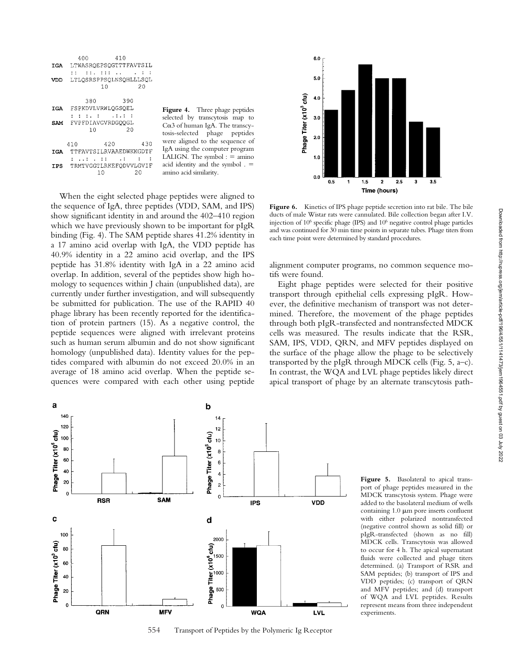| ICA<br>VDD | 410<br>400<br>LTWASROEPSOGTTTFAVTSIL<br>:: ::: :::<br>LTLQSRSPPSQLNSQHLLLSQL<br>20<br>10                     |                                                                                                                                                                   |
|------------|--------------------------------------------------------------------------------------------------------------|-------------------------------------------------------------------------------------------------------------------------------------------------------------------|
|            | 380<br>390<br>IGA FSPKDVLVRWLOGSOEL<br>: : : : :<br>SAM FVPFDIAVGVRDGQQGL<br>10<br>20                        | <b>Figure 4.</b> Three phage peptides<br>selected by transcytosis map to<br>$C\alpha$ 3 of human IgA. The transcy-<br>tosis-selected phage peptides               |
| IGA<br>IPS | 430<br>420<br>410<br>TTFAVTSILRVAAEDWKKGDTF<br>: 11: 13: 11: 11: 11: 1<br>TRMTVGGTLRKEFQDVVLGVIF<br>20<br>10 | were aligned to the sequence of<br>IgA using the computer program<br>LALIGN. The symbol $: =$ amino<br>acid identity and the symbol $=$<br>amino acid similarity. |

When the eight selected phage peptides were aligned to the sequence of IgA, three peptides (VDD, SAM, and IPS) show significant identity in and around the 402–410 region which we have previously shown to be important for pIgR binding (Fig. 4). The SAM peptide shares 41.2% identity in a 17 amino acid overlap with IgA, the VDD peptide has 40.9% identity in a 22 amino acid overlap, and the IPS peptide has 31.8% identity with IgA in a 22 amino acid overlap. In addition, several of the peptides show high homology to sequences within J chain (unpublished data), are currently under further investigation, and will subsequently be submitted for publication. The use of the RAPID 40 phage library has been recently reported for the identification of protein partners (15). As a negative control, the peptide sequences were aligned with irrelevant proteins such as human serum albumin and do not show significant homology (unpublished data). Identity values for the peptides compared with albumin do not exceed 20.0% in an average of 18 amino acid overlap. When the peptide sequences were compared with each other using peptide



**Figure 6.** Kinetics of IPS phage peptide secretion into rat bile. The bile ducts of male Wistar rats were cannulated. Bile collection began after I.V. injection of 106 specific phage (IPS) and 106 negative control phage particles and was continued for 30 min time points in separate tubes. Phage titers from each time point were determined by standard procedures.

alignment computer programs, no common sequence motifs were found.

Eight phage peptides were selected for their positive transport through epithelial cells expressing pIgR. However, the definitive mechanism of transport was not determined. Therefore, the movement of the phage peptides through both pIgR-transfected and nontransfected MDCK cells was measured. The results indicate that the RSR, SAM, IPS, VDD, QRN, and MFV peptides displayed on the surface of the phage allow the phage to be selectively transported by the pIgR through MDCK cells (Fig.  $5, a-c$ ). In contrast, the WQA and LVL phage peptides likely direct apical transport of phage by an alternate transcytosis path-





**Figure 5.** Basolateral to apical transport of phage peptides measured in the MDCK transcytosis system. Phage were added to the basolateral medium of wells containing  $1.0 \mu m$  pore inserts confluent with either polarized nontransfected (negative control shown as solid fill) or pIgR-transfected (shown as no fill) MDCK cells. Transcytosis was allowed to occur for 4 h. The apical supernatant fluids were collected and phage titers determined. (a) Transport of RSR and SAM peptides; (b) transport of IPS and VDD peptides; (c) transport of QRN and MFV peptides; and (d) transport of WQA and LVL peptides. Results represent means from three independent experiments.

554 Transport of Peptides by the Polymeric Ig Receptor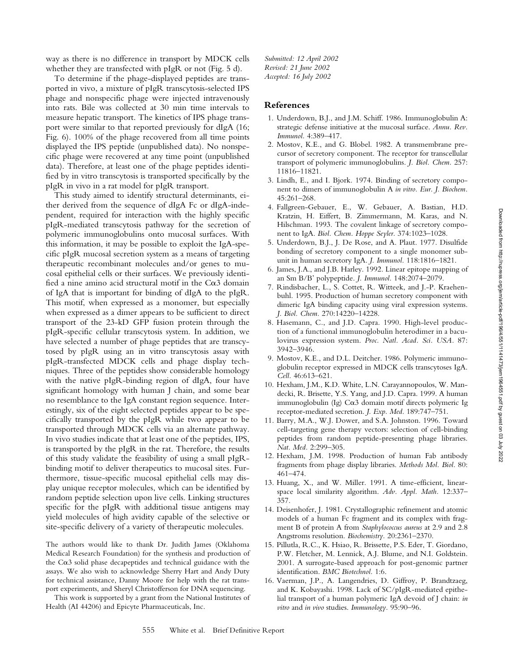way as there is no difference in transport by MDCK cells whether they are transfected with pIgR or not (Fig. 5 d).

To determine if the phage-displayed peptides are transported in vivo, a mixture of pIgR transcytosis-selected IPS phage and nonspecific phage were injected intravenously into rats. Bile was collected at 30 min time intervals to measure hepatic transport. The kinetics of IPS phage transport were similar to that reported previously for dIgA (16; Fig. 6). 100% of the phage recovered from all time points displayed the IPS peptide (unpublished data). No nonspecific phage were recovered at any time point (unpublished data). Therefore, at least one of the phage peptides identified by in vitro transcytosis is transported specifically by the pIgR in vivo in a rat model for pIgR transport.

This study aimed to identify structural determinants, either derived from the sequence of dIgA Fc or dIgA-independent, required for interaction with the highly specific pIgR-mediated transcytosis pathway for the secretion of polymeric immunoglobulins onto mucosal surfaces. With this information, it may be possible to exploit the IgA-specific pIgR mucosal secretion system as a means of targeting therapeutic recombinant molecules and/or genes to mucosal epithelial cells or their surfaces. We previously identified a nine amino acid structural motif in the C $\alpha$ 3 domain of IgA that is important for binding of dIgA to the pIgR. This motif, when expressed as a monomer, but especially when expressed as a dimer appears to be sufficient to direct transport of the 23-kD GFP fusion protein through the pIgR-specific cellular transcytosis system. In addition, we have selected a number of phage peptides that are transcytosed by pIgR using an in vitro transcytosis assay with pIgR-transfected MDCK cells and phage display techniques. Three of the peptides show considerable homology with the native pIgR-binding region of dIgA, four have significant homology with human J chain, and some bear no resemblance to the IgA constant region sequence. Interestingly, six of the eight selected peptides appear to be specifically transported by the pIgR while two appear to be transported through MDCK cells via an alternate pathway. In vivo studies indicate that at least one of the peptides, IPS, is transported by the pIgR in the rat. Therefore, the results of this study validate the feasibility of using a small pIgRbinding motif to deliver therapeutics to mucosal sites. Furthermore, tissue-specific mucosal epithelial cells may display unique receptor molecules, which can be identified by random peptide selection upon live cells. Linking structures specific for the pIgR with additional tissue antigens may yield molecules of high avidity capable of the selective or site-specific delivery of a variety of therapeutic molecules.

The authors would like to thank Dr. Judith James (Oklahoma Medical Research Foundation) for the synthesis and production of the  $C\alpha$ 3 solid phase decapeptides and technical guidance with the assays. We also wish to acknowledge Sherry Hart and Andy Duty for technical assistance, Danny Moore for help with the rat transport experiments, and Sheryl Christofferson for DNA sequencing.

This work is supported by a grant from the National Institutes of Health (AI 44206) and Epicyte Pharmaceuticals, Inc.

*Submitted: 12 April 2002 Revised: 21 June 2002 Accepted: 16 July 2002*

## **References**

- 1. Underdown, B.J., and J.M. Schiff. 1986. Immunoglobulin A: strategic defense initiative at the mucosal surface. *Annu. Rev. Immunol.* 4:389–417.
- 2. Mostov, K.E., and G. Blobel. 1982. A transmembrane precursor of secretory component. The receptor for transcellular transport of polymeric immunoglobulins. *J. Biol. Chem.* 257: 11816–11821.
- 3. Lindh, E., and I. Bjork. 1974. Binding of secretory component to dimers of immunoglobulin A *in vitro. Eur. J. Biochem.* 45:261–268.
- 4. Fallgreen-Gebauer, E., W. Gebauer, A. Bastian, H.D. Kratzin, H. Eiffert, B. Zimmermann, M. Karas, and N. Hilschman. 1993. The covalent linkage of secretory component to IgA. *Biol. Chem. Hoppe Seyler.* 374:1023–1028.
- 5. Underdown, B.J., J. De Rose, and A. Plaut. 1977. Disulfide bonding of secretory component to a single monomer subunit in human secretory IgA. *J. Immunol.* 118:1816–1821.
- 6. James, J.A., and J.B. Harley. 1992. Linear epitope mapping of an Sm B/B' polypeptide. *J. Immunol.* 148:2074–2079.
- 7. Rindisbacher, L., S. Cottet, R. Witteek, and J.-P. Kraehenbuhl. 1995. Production of human secretory component with dimeric IgA binding capacity using viral expression systems. *J. Biol. Chem.* 270:14220–14228.
- 8. Hasemann, C., and J.D. Capra. 1990. High-level production of a functional immunoglobulin heterodimer in a baculovirus expression system. *Proc. Natl. Acad. Sci. USA.* 87: 3942–3946.
- 9. Mostov, K.E., and D.L. Deitcher. 1986. Polymeric immunoglobulin receptor expressed in MDCK cells transcytoses IgA. *Cell.* 46:613–621.
- 10. Hexham, J.M., K.D. White, L.N. Carayannopoulos, W. Mandecki, R. Brisette, Y.S. Yang, and J.D. Capra. 1999. A human immunoglobulin (Ig) Ca3 domain motif directs polymeric Ig receptor-mediated secretion. *J. Exp. Med.* 189:747–751.
- 11. Barry, M.A., W.J. Dower, and S.A. Johnston. 1996. Toward cell-targeting gene therapy vectors: selection of cell-binding peptides from random peptide-presenting phage libraries. *Nat. Med.* 2:299–305.
- 12. Hexham, J.M. 1998. Production of human Fab antibody fragments from phage display libraries. *Methods Mol. Biol.* 80: 461–474.
- 13. Huang, X., and W. Miller. 1991. A time-efficient, linearspace local similarity algorithm. *Adv. Appl. Math.* 12:337– 357.
- 14. Deisenhofer, J. 1981. Crystallographic refinement and atomic models of a human Fc fragment and its complex with fragment B of protein A from *Staphylococcus aureus* at 2.9 and 2.8 Angstroms resolution. *Biochemistry.* 20:2361–2370.
- 15. Pillutla, R.C., K. Hsiao, R. Brissette, P.S. Eder, T. Giordano, P.W. Fletcher, M. Lennick, A.J. Blume, and N.I. Goldstein. 2001. A surrogate-based approach for post-genomic partner identification. *BMC Biotechnol.* 1:6.
- 16. Vaerman, J.P., A. Langendries, D. Giffroy, P. Brandtzaeg, and K. Kobayashi. 1998. Lack of SC/pIgR-mediated epithelial transport of a human polymeric IgA devoid of J chain: *in vitro* and *in vivo* studies. *Immunology.* 95:90–96.